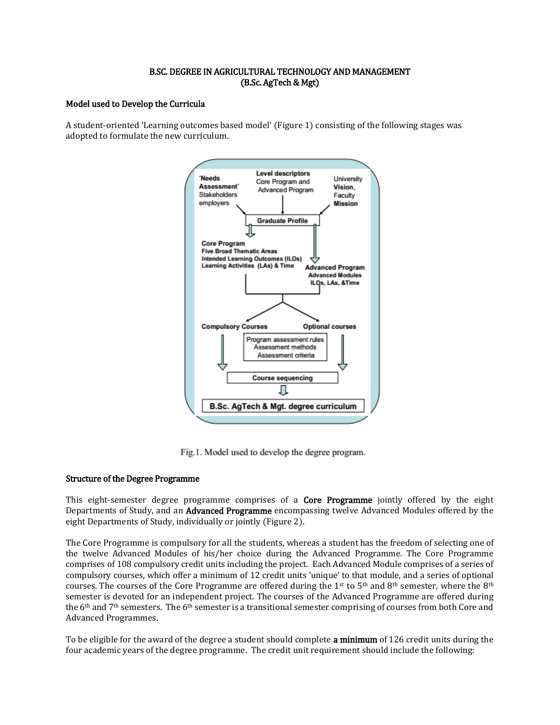# B.SC. DEGREE IN AGRICULTURAL TECHNOLOGY AND MANAGEMENT (B.Sc. AgTech & Mgt)

# Model used to Develop the Curricula

A student-oriented 'Learning outcomes based model' (Figure 1) consisting of the following stages was adopted to formulate the new curriculum.



Fig.1. Model used to develop the degree program.

#### Structure of the Degree Programme

This eight-semester degree programme comprises of a **Core Programme** jointly offered by the eight Departments of Study, and an **Advanced Programme** encompassing twelve Advanced Modules offered by the eight Departments of Study, individually or jointly (Figure 2).

The Core Programme is compulsory for all the students, whereas a student has the freedom of selecting one of the twelve Advanced Modules of his/her choice during the Advanced Programme. The Core Programme comprises of 108 compulsory credit units including the project. Each Advanced Module comprises of a series of compulsory courses, which offer a minimum of 12 credit units 'unique' to that module, and a series of optional courses. The courses of the Core Programme are offered during the 1<sup>st</sup> to 5<sup>th</sup> and 8<sup>th</sup> semester, where the 8<sup>th</sup> semester is devoted for an independent project. The courses of the Advanced Programme are offered during the 6th and 7th semesters. The 6th semester is a transitional semester comprising of courses from both Core and Advanced Programmes.

To be eligible for the award of the degree a student should complete a minimum of 126 credit units during the four academic years of the degree programme. The credit unit requirement should include the following: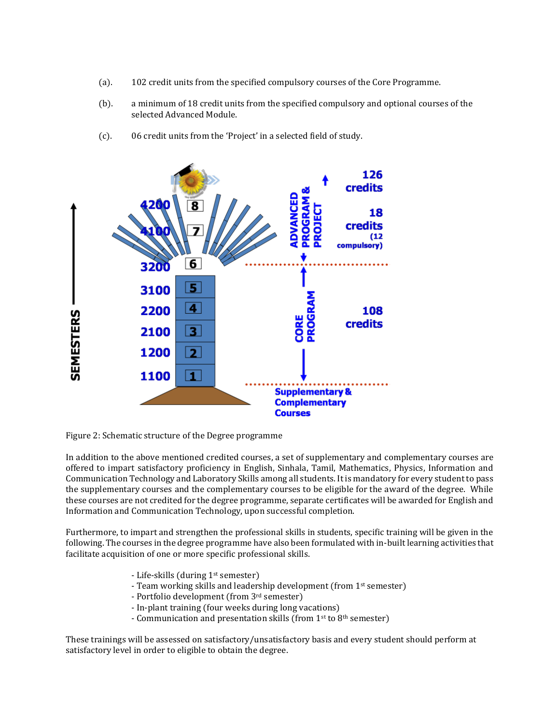- (a). 102 credit units from the specified compulsory courses of the Core Programme.
- (b). a minimum of 18 credit units from the specified compulsory and optional courses of the selected Advanced Module.





Figure 2: Schematic structure of the Degree programme

In addition to the above mentioned credited courses, a set of supplementary and complementary courses are offered to impart satisfactory proficiency in English, Sinhala, Tamil, Mathematics, Physics, Information and Communication Technology and Laboratory Skills among all students. It is mandatory for every student to pass the supplementary courses and the complementary courses to be eligible for the award of the degree. While these courses are not credited for the degree programme, separate certificates will be awarded for English and Information and Communication Technology, upon successful completion.

Furthermore, to impart and strengthen the professional skills in students, specific training will be given in the following. The courses in the degree programme have also been formulated with in-built learning activities that facilitate acquisition of one or more specific professional skills.

- Life-skills (during 1st semester)
- Team working skills and leadership development (from 1<sup>st</sup> semester)
- Portfolio development (from 3rd semester)
- In-plant training (four weeks during long vacations)
- Communication and presentation skills (from 1<sup>st</sup> to 8<sup>th</sup> semester)

These trainings will be assessed on satisfactory/unsatisfactory basis and every student should perform at satisfactory level in order to eligible to obtain the degree.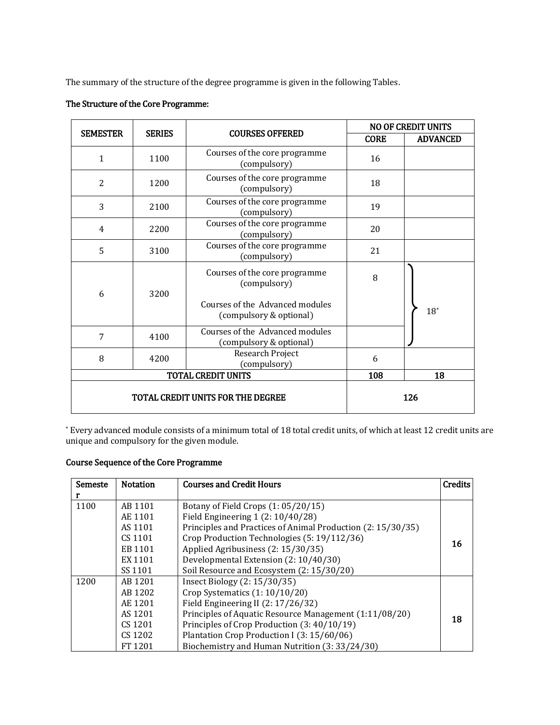The summary of the structure of the degree programme is given in the following Tables.

|                                   |               |                                                                                                             |             | <b>NO OF CREDIT UNITS</b> |
|-----------------------------------|---------------|-------------------------------------------------------------------------------------------------------------|-------------|---------------------------|
| <b>SEMESTER</b>                   | <b>SERIES</b> | <b>COURSES OFFERED</b>                                                                                      | <b>CORE</b> | <b>ADVANCED</b>           |
| $\mathbf{1}$                      | 1100          | Courses of the core programme<br>(compulsory)                                                               | 16          |                           |
| $\overline{2}$                    | 1200          | Courses of the core programme<br>(compulsory)                                                               | 18          |                           |
| 3                                 | 2100          | Courses of the core programme<br>(compulsory)                                                               | 19          |                           |
| 4                                 | 2200          | Courses of the core programme<br>(compulsory)                                                               | 20          |                           |
| 5                                 | 3100          | Courses of the core programme<br>(compulsory)                                                               | 21          |                           |
| 6                                 | 3200          | Courses of the core programme<br>(compulsory)<br>Courses of the Advanced modules<br>(compulsory & optional) | 8           | $18^*$                    |
| 7                                 | 4100          | Courses of the Advanced modules<br>(compulsory & optional)                                                  |             |                           |
| 8                                 | 4200          | Research Project<br>(compulsory)                                                                            | 6           |                           |
| <b>TOTAL CREDIT UNITS</b>         |               |                                                                                                             | 108         | 18                        |
| TOTAL CREDIT UNITS FOR THE DEGREE |               |                                                                                                             | 126         |                           |

# The Structure of the Core Programme:

\* Every advanced module consists of a minimum total of 18 total credit units, of which at least 12 credit units are unique and compulsory for the given module.

# Course Sequence of the Core Programme

| Semeste | <b>Notation</b> | <b>Courses and Credit Hours</b>                             | <b>Credits</b> |
|---------|-----------------|-------------------------------------------------------------|----------------|
| r       |                 |                                                             |                |
| 1100    | AB 1101         | Botany of Field Crops $(1: 05/20/15)$                       |                |
|         | AE 1101         | Field Engineering $1(2:10/40/28)$                           |                |
|         | AS 1101         | Principles and Practices of Animal Production (2: 15/30/35) |                |
|         | CS 1101         | Crop Production Technologies (5: 19/112/36)                 | 16             |
|         | EB 1101         | Applied Agribusiness (2: 15/30/35)                          |                |
|         | EX 1101         | Developmental Extension (2: 10/40/30)                       |                |
|         | SS 1101         | Soil Resource and Ecosystem (2: 15/30/20)                   |                |
| 1200    | AB 1201         | Insect Biology (2: 15/30/35)                                |                |
|         | AB 1202         | Crop Systematics $(1:10/10/20)$                             |                |
|         | AE 1201         | Field Engineering II (2: 17/26/32)                          |                |
|         | AS 1201         | Principles of Aquatic Resource Management (1:11/08/20)      | 18             |
|         | CS 1201         | Principles of Crop Production (3: 40/10/19)                 |                |
|         | CS 1202         | Plantation Crop Production I (3: 15/60/06)                  |                |
|         | FT 1201         | Biochemistry and Human Nutrition (3: 33/24/30)              |                |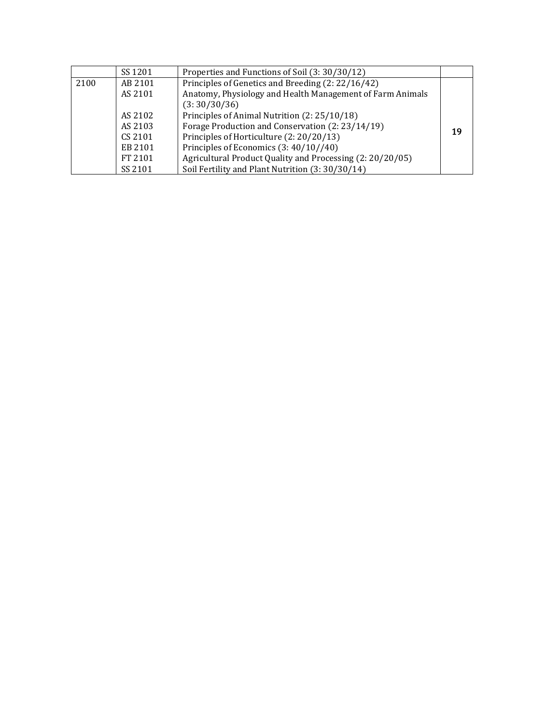|      | SS 1201 | Properties and Functions of Soil (3: 30/30/12)            |    |
|------|---------|-----------------------------------------------------------|----|
| 2100 | AB 2101 | Principles of Genetics and Breeding (2: 22/16/42)         |    |
|      | AS 2101 | Anatomy, Physiology and Health Management of Farm Animals |    |
|      |         | (3:30/30/36)                                              |    |
|      | AS 2102 | Principles of Animal Nutrition (2: 25/10/18)              |    |
|      | AS 2103 | Forage Production and Conservation (2: 23/14/19)          | 19 |
|      | CS 2101 | Principles of Horticulture (2: 20/20/13)                  |    |
|      | EB 2101 | Principles of Economics (3: 40/10//40)                    |    |
|      | FT 2101 | Agricultural Product Quality and Processing (2: 20/20/05) |    |
|      | SS 2101 | Soil Fertility and Plant Nutrition (3: 30/30/14)          |    |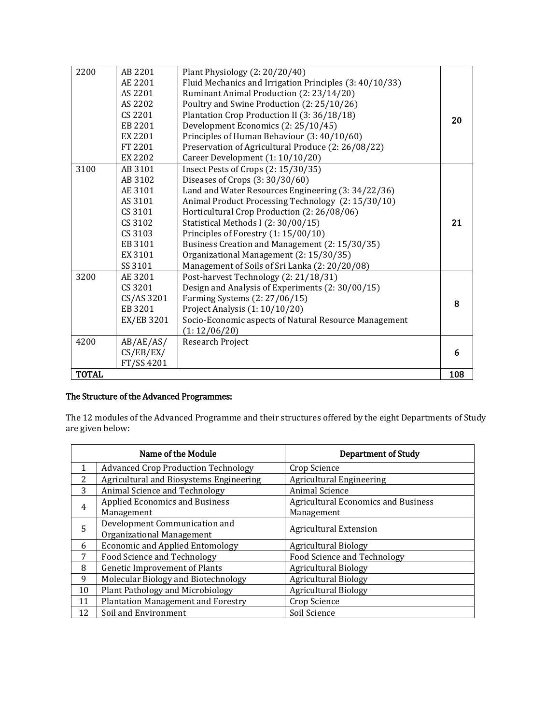| 2200         | AB 2201    | Plant Physiology (2: 20/20/40)                          |     |
|--------------|------------|---------------------------------------------------------|-----|
|              | AE 2201    | Fluid Mechanics and Irrigation Principles (3: 40/10/33) |     |
|              | AS 2201    | Ruminant Animal Production (2: 23/14/20)                |     |
|              | AS 2202    | Poultry and Swine Production (2: 25/10/26)              |     |
|              | CS 2201    | Plantation Crop Production II (3: 36/18/18)             | 20  |
|              | EB 2201    | Development Economics (2: 25/10/45)                     |     |
|              | EX 2201    | Principles of Human Behaviour (3: 40/10/60)             |     |
|              | FT 2201    | Preservation of Agricultural Produce (2: 26/08/22)      |     |
|              | EX 2202    | Career Development (1: 10/10/20)                        |     |
| 3100         | AB 3101    | Insect Pests of Crops (2: 15/30/35)                     |     |
|              | AB 3102    | Diseases of Crops $(3:30/30/60)$                        |     |
|              | AE 3101    | Land and Water Resources Engineering (3: 34/22/36)      |     |
|              | AS 3101    | Animal Product Processing Technology (2: 15/30/10)      |     |
|              | CS 3101    | Horticultural Crop Production (2: 26/08/06)             |     |
|              | CS 3102    | Statistical Methods I (2:30/00/15)                      | 21  |
|              | CS 3103    | Principles of Forestry (1: 15/00/10)                    |     |
|              | EB 3101    | Business Creation and Management (2: 15/30/35)          |     |
|              | EX 3101    | Organizational Management (2: 15/30/35)                 |     |
|              | SS 3101    | Management of Soils of Sri Lanka (2: 20/20/08)          |     |
| 3200         | AE 3201    | Post-harvest Technology (2: 21/18/31)                   |     |
|              | CS 3201    | Design and Analysis of Experiments (2: 30/00/15)        |     |
|              | CS/AS 3201 | Farming Systems (2: 27/06/15)                           | 8   |
|              | EB 3201    | Project Analysis (1: 10/10/20)                          |     |
|              | EX/EB 3201 | Socio-Economic aspects of Natural Resource Management   |     |
|              |            | (1:12/06/20)                                            |     |
| 4200         | AB/AE/AS/  | Research Project                                        |     |
|              | CS/EB/EX/  |                                                         | 6   |
|              | FT/SS 4201 |                                                         |     |
| <b>TOTAL</b> |            |                                                         | 108 |

# The Structure of the Advanced Programmes:

The 12 modules of the Advanced Programme and their structures offered by the eight Departments of Study are given below:

|                                                                     | Name of the Module                         | <b>Department of Study</b>                 |  |
|---------------------------------------------------------------------|--------------------------------------------|--------------------------------------------|--|
|                                                                     | <b>Advanced Crop Production Technology</b> | Crop Science                               |  |
| 2                                                                   | Agricultural and Biosystems Engineering    | <b>Agricultural Engineering</b>            |  |
| 3                                                                   | Animal Science and Technology              | Animal Science                             |  |
|                                                                     | <b>Applied Economics and Business</b>      | <b>Agricultural Economics and Business</b> |  |
| 4<br>Management                                                     |                                            | Management                                 |  |
| Development Communication and<br>5<br><b>Agricultural Extension</b> |                                            |                                            |  |
|                                                                     | Organizational Management                  |                                            |  |
| 6                                                                   | <b>Economic and Applied Entomology</b>     | <b>Agricultural Biology</b>                |  |
| 7                                                                   | Food Science and Technology                | Food Science and Technology                |  |
| 8                                                                   | <b>Genetic Improvement of Plants</b>       | <b>Agricultural Biology</b>                |  |
| 9                                                                   | Molecular Biology and Biotechnology        | <b>Agricultural Biology</b>                |  |
| 10                                                                  | Plant Pathology and Microbiology           | <b>Agricultural Biology</b>                |  |
| 11                                                                  | <b>Plantation Management and Forestry</b>  | Crop Science                               |  |
| 12<br>Soil and Environment                                          |                                            | Soil Science                               |  |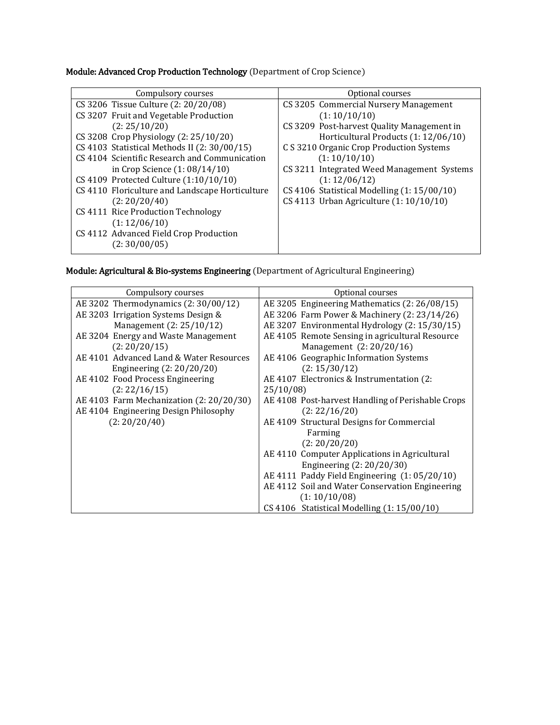Module: Advanced Crop Production Technology (Department of Crop Science)

| CS 3205 Commercial Nursery Management        |
|----------------------------------------------|
|                                              |
| CS 3209 Post-harvest Quality Management in   |
| Horticultural Products (1: 12/06/10)         |
| C S 3210 Organic Crop Production Systems     |
|                                              |
| CS 3211 Integrated Weed Management Systems   |
|                                              |
| CS 4106 Statistical Modelling $(1:15/00/10)$ |
| CS 4113 Urban Agriculture (1: 10/10/10)      |
|                                              |
|                                              |
|                                              |
|                                              |
|                                              |

Module: Agricultural & Bio-systems Engineering (Department of Agricultural Engineering)

| Compulsory courses                       | Optional courses                                  |
|------------------------------------------|---------------------------------------------------|
| AE 3202 Thermodynamics (2:30/00/12)      | AE 3205 Engineering Mathematics (2: 26/08/15)     |
| AE 3203 Irrigation Systems Design &      | AE 3206 Farm Power & Machinery (2: 23/14/26)      |
| Management (2: 25/10/12)                 | AE 3207 Environmental Hydrology (2: 15/30/15)     |
| AE 3204 Energy and Waste Management      | AE 4105 Remote Sensing in agricultural Resource   |
| (2:20/20/15)                             | Management (2: 20/20/16)                          |
| AE 4101 Advanced Land & Water Resources  | AE 4106 Geographic Information Systems            |
| Engineering $(2:20/20/20)$               | (2: 15/30/12)                                     |
| AE 4102 Food Process Engineering         | AE 4107 Electronics & Instrumentation (2:         |
| (2:22/16/15)                             | 25/10/08                                          |
| AE 4103 Farm Mechanization (2: 20/20/30) | AE 4108 Post-harvest Handling of Perishable Crops |
| AE 4104 Engineering Design Philosophy    | (2:22/16/20)                                      |
| (2:20/20/40)                             | AE 4109 Structural Designs for Commercial         |
|                                          | Farming                                           |
|                                          | (2:20/20/20)                                      |
|                                          | AE 4110 Computer Applications in Agricultural     |
|                                          | Engineering (2: 20/20/30)                         |
|                                          | AE 4111 Paddy Field Engineering (1:05/20/10)      |
|                                          | AE 4112 Soil and Water Conservation Engineering   |
|                                          | (1:10/10/08)                                      |
|                                          | CS 4106 Statistical Modelling (1:15/00/10)        |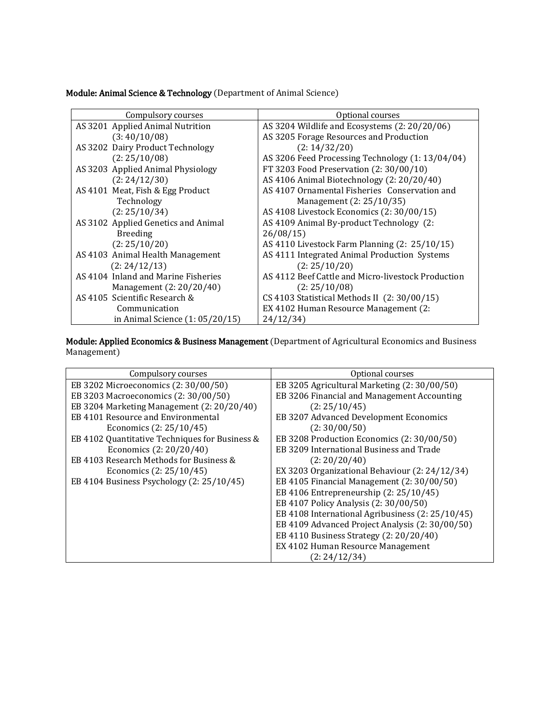Module: Animal Science & Technology (Department of Animal Science)

| Compulsory courses                  | Optional courses                                   |
|-------------------------------------|----------------------------------------------------|
| AS 3201 Applied Animal Nutrition    | AS 3204 Wildlife and Ecosystems $(2: 20/20/06)$    |
| (3:40/10/08)                        | AS 3205 Forage Resources and Production            |
| AS 3202 Dairy Product Technology    | (2: 14/32/20)                                      |
| (2:25/10/08)                        | AS 3206 Feed Processing Technology (1: 13/04/04)   |
| AS 3203 Applied Animal Physiology   | FT 3203 Food Preservation (2:30/00/10)             |
| (2:24/12/30)                        | AS 4106 Animal Biotechnology (2: 20/20/40)         |
| AS 4101 Meat, Fish & Egg Product    | AS 4107 Ornamental Fisheries Conservation and      |
| Technology                          | Management (2: 25/10/35)                           |
| (2:25/10/34)                        | AS 4108 Livestock Economics (2:30/00/15)           |
| AS 3102 Applied Genetics and Animal | AS 4109 Animal By-product Technology (2:           |
| <b>Breeding</b>                     | 26/08/15                                           |
| (2:25/10/20)                        | AS 4110 Livestock Farm Planning $(2: 25/10/15)$    |
| AS 4103 Animal Health Management    | AS 4111 Integrated Animal Production Systems       |
| (2:24/12/13)                        | (2:25/10/20)                                       |
| AS 4104 Inland and Marine Fisheries | AS 4112 Beef Cattle and Micro-livestock Production |
| Management (2: 20/20/40)            | (2:25/10/08)                                       |
| AS 4105 Scientific Research &       | CS 4103 Statistical Methods II (2: 30/00/15)       |
| Communication                       | EX 4102 Human Resource Management (2:              |
| in Animal Science $(1:05/20/15)$    | 24/12/34                                           |

Module: Applied Economics & Business Management (Department of Agricultural Economics and Business Management)

| Compulsory courses                             | Optional courses                                 |
|------------------------------------------------|--------------------------------------------------|
| EB 3202 Microeconomics (2:30/00/50)            | EB 3205 Agricultural Marketing (2: 30/00/50)     |
| EB 3203 Macroeconomics (2:30/00/50)            | EB 3206 Financial and Management Accounting      |
| EB 3204 Marketing Management (2: 20/20/40)     | (2:25/10/45)                                     |
| EB 4101 Resource and Environmental             | EB 3207 Advanced Development Economics           |
| Economics (2: 25/10/45)                        | (2:30/00/50)                                     |
| EB 4102 Quantitative Techniques for Business & | EB 3208 Production Economics (2: 30/00/50)       |
| Economics (2: 20/20/40)                        | EB 3209 International Business and Trade         |
| EB 4103 Research Methods for Business &        | (2:20/20/40)                                     |
| Economics (2: 25/10/45)                        | EX 3203 Organizational Behaviour (2: 24/12/34)   |
| EB 4104 Business Psychology (2: 25/10/45)      | EB 4105 Financial Management (2: 30/00/50)       |
|                                                | EB 4106 Entrepreneurship (2: 25/10/45)           |
|                                                | EB 4107 Policy Analysis (2: 30/00/50)            |
|                                                | EB 4108 International Agribusiness (2: 25/10/45) |
|                                                | EB 4109 Advanced Project Analysis (2: 30/00/50)  |
|                                                | EB 4110 Business Strategy (2: 20/20/40)          |
|                                                | EX 4102 Human Resource Management                |
|                                                | (2:24/12/34)                                     |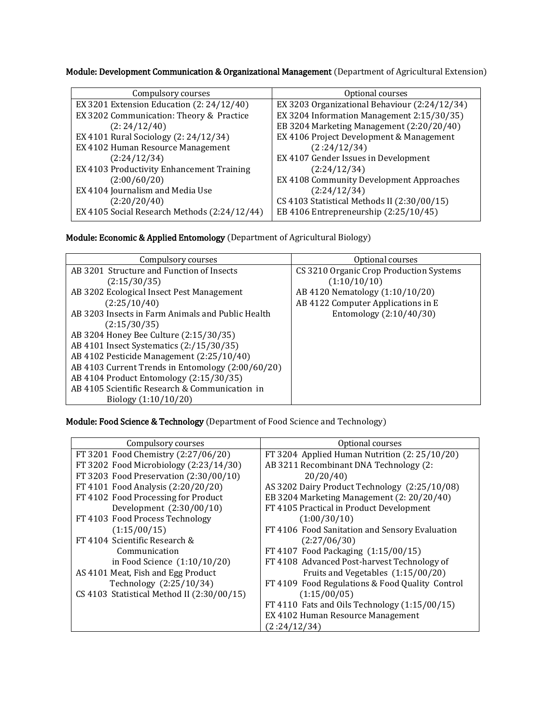Module: Development Communication & Organizational Management (Department of Agricultural Extension)

| Compulsory courses                           | Optional courses                              |
|----------------------------------------------|-----------------------------------------------|
| EX 3201 Extension Education (2: 24/12/40)    | EX 3203 Organizational Behaviour (2:24/12/34) |
| EX 3202 Communication: Theory & Practice     | EX 3204 Information Management 2:15/30/35)    |
| (2:24/12/40)                                 | EB 3204 Marketing Management (2:20/20/40)     |
| EX 4101 Rural Sociology (2: 24/12/34)        | EX 4106 Project Development & Management      |
| EX 4102 Human Resource Management            | (2:24/12/34)                                  |
| (2:24/12/34)                                 | EX 4107 Gender Issues in Development          |
| EX 4103 Productivity Enhancement Training    | (2:24/12/34)                                  |
| (2:00/60/20)                                 | EX 4108 Community Development Approaches      |
| EX 4104 Journalism and Media Use             | (2:24/12/34)                                  |
| (2:20/20/40)                                 | CS 4103 Statistical Methods II (2:30/00/15)   |
| EX 4105 Social Research Methods (2:24/12/44) | EB 4106 Entrepreneurship (2:25/10/45)         |
|                                              |                                               |

Module: Economic & Applied Entomology (Department of Agricultural Biology)

| Compulsory courses                                | Optional courses                        |
|---------------------------------------------------|-----------------------------------------|
| AB 3201 Structure and Function of Insects         | CS 3210 Organic Crop Production Systems |
| (2:15/30/35)                                      | (1:10/10/10)                            |
| AB 3202 Ecological Insect Pest Management         | AB 4120 Nematology (1:10/10/20)         |
| (2:25/10/40)                                      | AB 4122 Computer Applications in E      |
| AB 3203 Insects in Farm Animals and Public Health | Entomology (2:10/40/30)                 |
| (2:15/30/35)                                      |                                         |
| AB 3204 Honey Bee Culture (2:15/30/35)            |                                         |
| AB 4101 Insect Systematics (2:/15/30/35)          |                                         |
| AB 4102 Pesticide Management (2:25/10/40)         |                                         |
| AB 4103 Current Trends in Entomology (2:00/60/20) |                                         |
| AB 4104 Product Entomology (2:15/30/35)           |                                         |
| AB 4105 Scientific Research & Communication in    |                                         |
| Biology $(1:10/10/20)$                            |                                         |

Module: Food Science & Technology (Department of Food Science and Technology)

| Compulsory courses                         | Optional courses                                |
|--------------------------------------------|-------------------------------------------------|
| FT 3201 Food Chemistry (2:27/06/20)        | FT 3204 Applied Human Nutrition $(2: 25/10/20)$ |
| FT 3202 Food Microbiology (2:23/14/30)     | AB 3211 Recombinant DNA Technology (2:          |
| FT 3203 Food Preservation (2:30/00/10)     | 20/20/40                                        |
| FT 4101 Food Analysis (2:20/20/20)         | AS 3202 Dairy Product Technology (2:25/10/08)   |
| FT 4102 Food Processing for Product        | EB 3204 Marketing Management (2: 20/20/40)      |
| Development $(2:30/00/10)$                 | FT 4105 Practical in Product Development        |
| FT 4103 Food Process Technology            | (1:00/30/10)                                    |
| (1:15/00/15)                               | FT 4106 Food Sanitation and Sensory Evaluation  |
| FT 4104 Scientific Research &              | (2:27/06/30)                                    |
| Communication                              | FT 4107 Food Packaging (1:15/00/15)             |
| in Food Science $(1:10/10/20)$             | FT 4108 Advanced Post-harvest Technology of     |
| AS 4101 Meat, Fish and Egg Product         | Fruits and Vegetables (1:15/00/20)              |
| Technology (2:25/10/34)                    | FT 4109 Food Regulations & Food Quality Control |
| CS 4103 Statistical Method II (2:30/00/15) | (1:15/00/05)                                    |
|                                            | FT 4110 Fats and Oils Technology $(1:15/00/15)$ |
|                                            | EX 4102 Human Resource Management               |
|                                            | (2:24/12/34)                                    |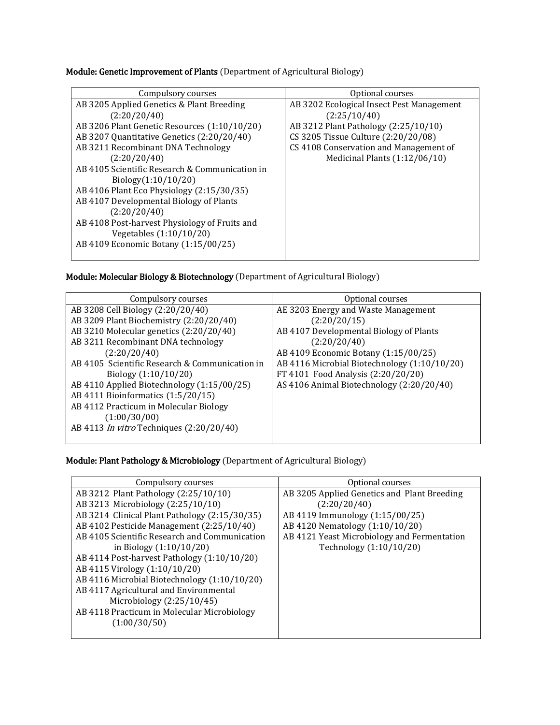Module: Genetic Improvement of Plants (Department of Agricultural Biology)

| Compulsory courses                             | Optional courses                          |
|------------------------------------------------|-------------------------------------------|
| AB 3205 Applied Genetics & Plant Breeding      | AB 3202 Ecological Insect Pest Management |
| (2:20/20/40)                                   | (2:25/10/40)                              |
| AB 3206 Plant Genetic Resources (1:10/10/20)   | AB 3212 Plant Pathology (2:25/10/10)      |
| AB 3207 Quantitative Genetics (2:20/20/40)     | CS 3205 Tissue Culture (2:20/20/08)       |
| AB 3211 Recombinant DNA Technology             | CS 4108 Conservation and Management of    |
| (2:20/20/40)                                   | Medicinal Plants $(1:12/06/10)$           |
| AB 4105 Scientific Research & Communication in |                                           |
| Biology(1:10/10/20)                            |                                           |
| AB 4106 Plant Eco Physiology (2:15/30/35)      |                                           |
| AB 4107 Developmental Biology of Plants        |                                           |
| (2:20/20/40)                                   |                                           |
| AB 4108 Post-harvest Physiology of Fruits and  |                                           |
| Vegetables (1:10/10/20)                        |                                           |
| AB 4109 Economic Botany (1:15/00/25)           |                                           |
|                                                |                                           |

Module: Molecular Biology & Biotechnology (Department of Agricultural Biology)

| Compulsory courses                              | Optional courses                             |
|-------------------------------------------------|----------------------------------------------|
| AB 3208 Cell Biology (2:20/20/40)               | AE 3203 Energy and Waste Management          |
| AB 3209 Plant Biochemistry (2:20/20/40)         | (2:20/20/15)                                 |
| AB 3210 Molecular genetics (2:20/20/40)         | AB 4107 Developmental Biology of Plants      |
| AB 3211 Recombinant DNA technology              | (2:20/20/40)                                 |
| (2:20/20/40)                                    | AB 4109 Economic Botany (1:15/00/25)         |
| AB 4105 Scientific Research & Communication in  | AB 4116 Microbial Biotechnology (1:10/10/20) |
| Biology $(1:10/10/20)$                          | FT 4101 Food Analysis (2:20/20/20)           |
| AB 4110 Applied Biotechnology (1:15/00/25)      | AS 4106 Animal Biotechnology (2:20/20/40)    |
| AB 4111 Bioinformatics (1:5/20/15)              |                                              |
| AB 4112 Practicum in Molecular Biology          |                                              |
| (1:00/30/00)                                    |                                              |
| AB 4113 <i>In vitro</i> Techniques (2:20/20/40) |                                              |
|                                                 |                                              |

Module: Plant Pathology & Microbiology (Department of Agricultural Biology)

| Compulsory courses                            | Optional courses                            |
|-----------------------------------------------|---------------------------------------------|
| AB 3212 Plant Pathology (2:25/10/10)          | AB 3205 Applied Genetics and Plant Breeding |
| AB 3213 Microbiology (2:25/10/10)             | (2:20/20/40)                                |
| AB 3214 Clinical Plant Pathology (2:15/30/35) | AB 4119 Immunology (1:15/00/25)             |
| AB 4102 Pesticide Management (2:25/10/40)     | AB 4120 Nematology (1:10/10/20)             |
| AB 4105 Scientific Research and Communication | AB 4121 Yeast Microbiology and Fermentation |
| in Biology $(1:10/10/20)$                     | Technology (1:10/10/20)                     |
| AB 4114 Post-harvest Pathology (1:10/10/20)   |                                             |
| AB 4115 Virology (1:10/10/20)                 |                                             |
| AB 4116 Microbial Biotechnology (1:10/10/20)  |                                             |
| AB 4117 Agricultural and Environmental        |                                             |
| Microbiology $(2:25/10/45)$                   |                                             |
| AB 4118 Practicum in Molecular Microbiology   |                                             |
| (1:00/30/50)                                  |                                             |
|                                               |                                             |